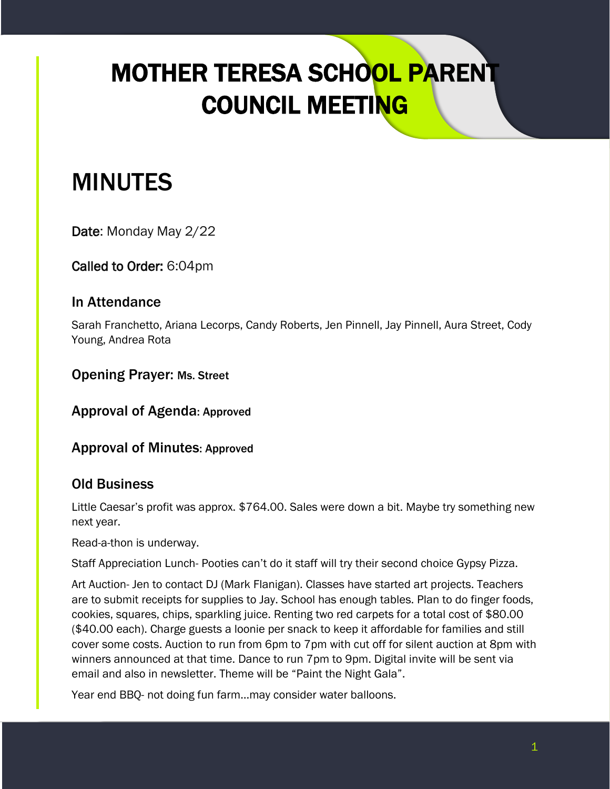## MOTHER TERESA SCHOOL PARENT COUNCIL MEETING

## MINUTES

Date: Monday May 2/22

Called to Order: 6:04pm

## In Attendance

Sarah Franchetto, Ariana Lecorps, Candy Roberts, Jen Pinnell, Jay Pinnell, Aura Street, Cody Young, Andrea Rota

Opening Prayer: Ms. Street

Approval of Agenda: Approved

Approval of Minutes: Approved

## Old Business

Little Caesar's profit was approx. \$764.00. Sales were down a bit. Maybe try something new next year.

Read-a-thon is underway.

Staff Appreciation Lunch- Pooties can't do it staff will try their second choice Gypsy Pizza.

Art Auction- Jen to contact DJ (Mark Flanigan). Classes have started art projects. Teachers are to submit receipts for supplies to Jay. School has enough tables. Plan to do finger foods, cookies, squares, chips, sparkling juice. Renting two red carpets for a total cost of \$80.00 (\$40.00 each). Charge guests a loonie per snack to keep it affordable for families and still cover some costs. Auction to run from 6pm to 7pm with cut off for silent auction at 8pm with winners announced at that time. Dance to run 7pm to 9pm. Digital invite will be sent via email and also in newsletter. Theme will be "Paint the Night Gala".

Year end BBQ- not doing fun farm…may consider water balloons.